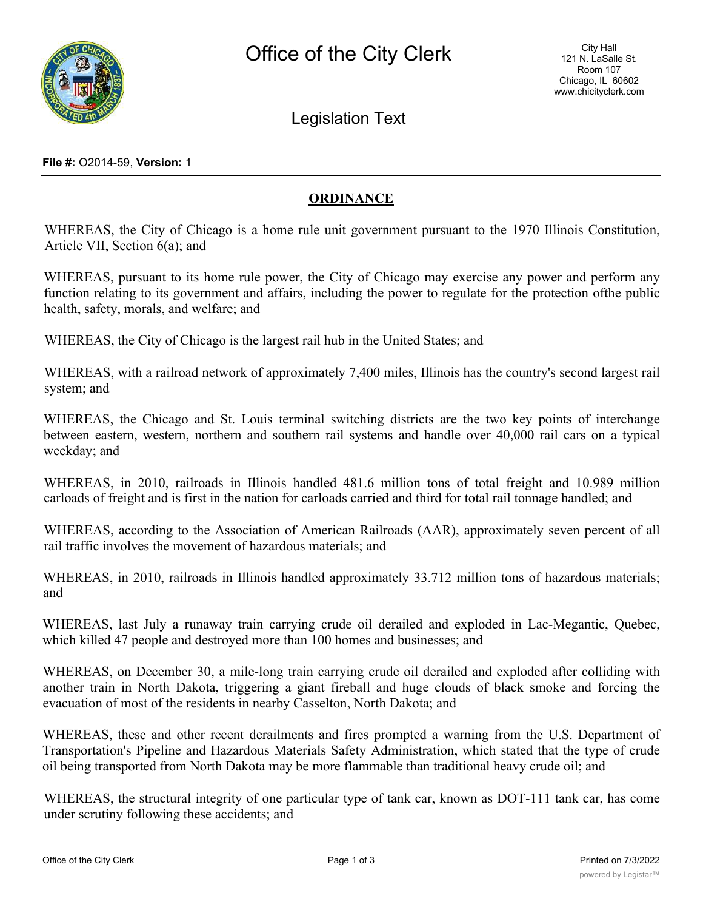

Legislation Text

**File #:** O2014-59, **Version:** 1

## **ORDINANCE**

WHEREAS, the City of Chicago is a home rule unit government pursuant to the 1970 Illinois Constitution, Article VII, Section 6(a); and

WHEREAS, pursuant to its home rule power, the City of Chicago may exercise any power and perform any function relating to its government and affairs, including the power to regulate for the protection ofthe public health, safety, morals, and welfare; and

WHEREAS, the City of Chicago is the largest rail hub in the United States; and

WHEREAS, with a railroad network of approximately 7,400 miles, Illinois has the country's second largest rail system; and

WHEREAS, the Chicago and St. Louis terminal switching districts are the two key points of interchange between eastern, western, northern and southern rail systems and handle over 40,000 rail cars on a typical weekday; and

WHEREAS, in 2010, railroads in Illinois handled 481.6 million tons of total freight and 10.989 million carloads of freight and is first in the nation for carloads carried and third for total rail tonnage handled; and

WHEREAS, according to the Association of American Railroads (AAR), approximately seven percent of all rail traffic involves the movement of hazardous materials; and

WHEREAS, in 2010, railroads in Illinois handled approximately 33.712 million tons of hazardous materials; and

WHEREAS, last July a runaway train carrying crude oil derailed and exploded in Lac-Megantic, Quebec, which killed 47 people and destroyed more than 100 homes and businesses; and

WHEREAS, on December 30, a mile-long train carrying crude oil derailed and exploded after colliding with another train in North Dakota, triggering a giant fireball and huge clouds of black smoke and forcing the evacuation of most of the residents in nearby Casselton, North Dakota; and

WHEREAS, these and other recent derailments and fires prompted a warning from the U.S. Department of Transportation's Pipeline and Hazardous Materials Safety Administration, which stated that the type of crude oil being transported from North Dakota may be more flammable than traditional heavy crude oil; and

WHEREAS, the structural integrity of one particular type of tank car, known as DOT-111 tank car, has come under scrutiny following these accidents; and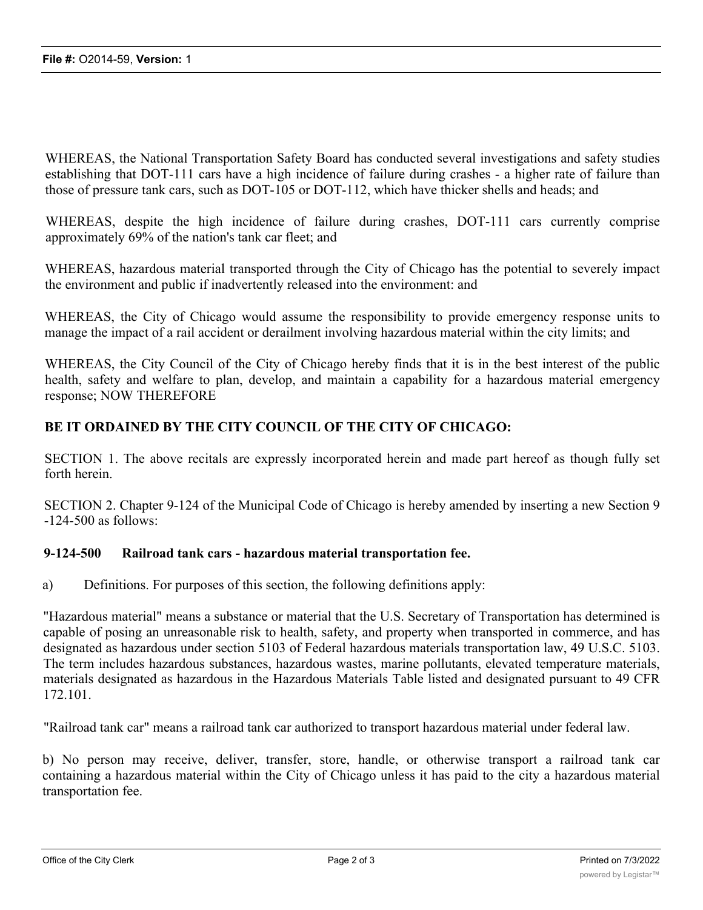WHEREAS, the National Transportation Safety Board has conducted several investigations and safety studies establishing that DOT-111 cars have a high incidence of failure during crashes - a higher rate of failure than those of pressure tank cars, such as DOT-105 or DOT-112, which have thicker shells and heads; and

WHEREAS, despite the high incidence of failure during crashes, DOT-111 cars currently comprise approximately 69% of the nation's tank car fleet; and

WHEREAS, hazardous material transported through the City of Chicago has the potential to severely impact the environment and public if inadvertently released into the environment: and

WHEREAS, the City of Chicago would assume the responsibility to provide emergency response units to manage the impact of a rail accident or derailment involving hazardous material within the city limits; and

WHEREAS, the City Council of the City of Chicago hereby finds that it is in the best interest of the public health, safety and welfare to plan, develop, and maintain a capability for a hazardous material emergency response; NOW THEREFORE

## **BE IT ORDAINED BY THE CITY COUNCIL OF THE CITY OF CHICAGO:**

SECTION 1. The above recitals are expressly incorporated herein and made part hereof as though fully set forth herein.

SECTION 2. Chapter 9-124 of the Municipal Code of Chicago is hereby amended by inserting a new Section 9 -124-500 as follows:

## **9-124-500 Railroad tank cars - hazardous material transportation fee.**

a) Definitions. For purposes of this section, the following definitions apply:

"Hazardous material" means a substance or material that the U.S. Secretary of Transportation has determined is capable of posing an unreasonable risk to health, safety, and property when transported in commerce, and has designated as hazardous under section 5103 of Federal hazardous materials transportation law, 49 U.S.C. 5103. The term includes hazardous substances, hazardous wastes, marine pollutants, elevated temperature materials, materials designated as hazardous in the Hazardous Materials Table listed and designated pursuant to 49 CFR 172.101.

"Railroad tank car" means a railroad tank car authorized to transport hazardous material under federal law.

b) No person may receive, deliver, transfer, store, handle, or otherwise transport a railroad tank car containing a hazardous material within the City of Chicago unless it has paid to the city a hazardous material transportation fee.